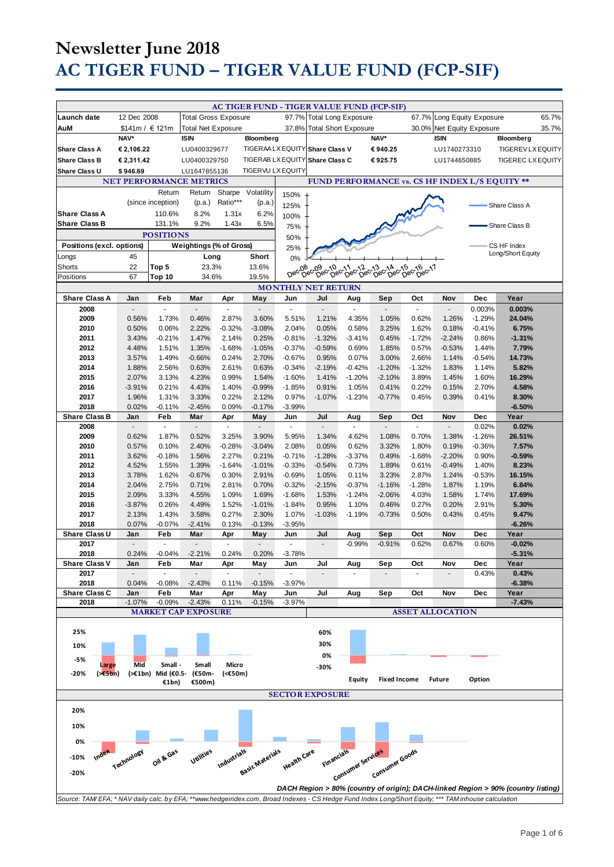|                                                                                                                                                     |                          |                    |                                |                          |                                       |                    | <b>AC TIGER FUND - TIGER VALUE FUND (FCP-SIF)</b> |                                 |                     |                               |                            |          |                                                                                   |
|-----------------------------------------------------------------------------------------------------------------------------------------------------|--------------------------|--------------------|--------------------------------|--------------------------|---------------------------------------|--------------------|---------------------------------------------------|---------------------------------|---------------------|-------------------------------|----------------------------|----------|-----------------------------------------------------------------------------------|
|                                                                                                                                                     |                          |                    |                                |                          |                                       |                    |                                                   |                                 |                     |                               |                            |          |                                                                                   |
| Launch date                                                                                                                                         | 12 Dec 2008              |                    | <b>Total Gross Exposure</b>    |                          |                                       | 97.7%              | <b>Total Long Exposure</b>                        |                                 |                     |                               | 67.7% Long Equity Exposure |          | 65.7%                                                                             |
| AuM                                                                                                                                                 | \$141m / € 121m          |                    | <b>Total Net Exposure</b>      |                          |                                       | 37.8%              | <b>Total Short Exposure</b>                       |                                 |                     |                               | 30.0% Net Equity Exposure  |          | 35.7%                                                                             |
|                                                                                                                                                     | NAV*                     |                    | <b>ISIN</b>                    |                          | Bloomberg                             |                    |                                                   |                                 | NAV*                |                               | <b>ISIN</b>                |          | Bloomberg                                                                         |
| <b>Share Class A</b>                                                                                                                                | € 2,106.22               |                    | LU0400329677                   |                          |                                       |                    | TIGERAA LX EQUITY Share Class V                   |                                 | €940.25             |                               | LU1740273310               |          | TIGEREV LX EQUITY                                                                 |
| <b>Share Class B</b>                                                                                                                                | € 2,311.42               |                    | LU0400329750                   |                          |                                       |                    | TIGERAB LX EQUITY Share Class C                   |                                 | €925.75             |                               | LU1744650885               |          | <b>TIGEREC LX EQUITY</b>                                                          |
| Share Class U                                                                                                                                       | \$946.69                 |                    | LU1647855136                   |                          | <b>TIGERVU LX EQUITY</b>              |                    |                                                   |                                 |                     |                               |                            |          |                                                                                   |
|                                                                                                                                                     |                          |                    | <b>NET PERFORMANCE METRICS</b> |                          |                                       |                    |                                                   |                                 |                     |                               |                            |          | FUND PERFORMANCE vs. CS HF INDEX L/S EQUITY **                                    |
|                                                                                                                                                     |                          | Return             | Return                         | Sharpe                   | Volatility                            | 150%               |                                                   |                                 |                     |                               |                            |          |                                                                                   |
|                                                                                                                                                     |                          | (since inception)  | (p.a.)                         | Ratio***                 | (p.a.)                                | 125%               |                                                   |                                 |                     |                               |                            |          |                                                                                   |
| <b>Share Class A</b>                                                                                                                                |                          | 110.6%             | 8.2%                           | 1.31x                    | 6.2%                                  |                    |                                                   |                                 |                     |                               |                            |          | Share Class A                                                                     |
| <b>Share Class B</b>                                                                                                                                |                          | 131.1%             | 9.2%                           | 1.43x                    | 6.5%                                  | 100%               |                                                   |                                 |                     |                               |                            |          |                                                                                   |
|                                                                                                                                                     |                          | <b>POSITIONS</b>   |                                |                          |                                       | 75%                |                                                   |                                 |                     |                               |                            |          | Share Class B                                                                     |
|                                                                                                                                                     |                          |                    |                                |                          |                                       | 50%                |                                                   |                                 |                     |                               |                            |          |                                                                                   |
| Positions (excl. options)                                                                                                                           |                          |                    | Weightings (% of Gross)        |                          |                                       | 25%                |                                                   |                                 |                     |                               |                            |          | CS HF Index<br>Long/Short Equity                                                  |
| Longs                                                                                                                                               | 45                       |                    | Long                           |                          | Short                                 | 0%                 |                                                   |                                 |                     |                               |                            |          |                                                                                   |
| Shorts                                                                                                                                              | 22                       | Top 5              | 23.3%                          |                          | 13.6%                                 | Dec-08             | 08-09-10-11-012-13-14<br>Dec Dec Dec 10-12-13-014 |                                 |                     | 14 0215 0216<br><b>Dec-17</b> |                            |          |                                                                                   |
| Positions                                                                                                                                           | 67                       | Top 10             | 34.6%                          |                          | 19.5%                                 |                    |                                                   |                                 |                     |                               |                            |          |                                                                                   |
|                                                                                                                                                     |                          |                    |                                |                          |                                       |                    | <b>MONTHLY NET RETURN</b>                         |                                 |                     |                               |                            |          |                                                                                   |
| <b>Share Class A</b>                                                                                                                                | Jan                      | Feb                | Mar                            | Apr                      | May                                   | Jun                | Jul                                               | Aug                             | Sep                 | Oct                           | Nov                        | Dec      | Year                                                                              |
| 2008                                                                                                                                                | ÷,                       | ÷.                 | $\blacksquare$                 | ÷,                       | $\overline{\phantom{a}}$              | $\sim$             | $\blacksquare$                                    | ä,                              | $\sim$              | ä,                            | ÷,                         | 0.003%   | 0.003%                                                                            |
| 2009                                                                                                                                                | 0.56%                    | 1.73%              | 0.46%                          | 2.87%                    | 3.60%                                 | 5.51%              | 1.21%                                             | 4.35%                           | 1.05%               | 0.62%                         | 1.26%                      | $-1.29%$ | 24.04%                                                                            |
| 2010                                                                                                                                                | 0.50%                    | 0.06%              | 2.22%                          | $-0.32%$                 | $-3.08%$                              | 2.04%              | 0.05%                                             | 0.58%                           | 3.25%               | 1.62%                         | 0.18%                      | $-0.41%$ | 6.75%                                                                             |
| 2011                                                                                                                                                | 3.43%                    | $-0.21%$           | 1.47%                          | 2.14%                    | 0.25%                                 | $-0.81%$           | $-1.32%$                                          | $-3.41%$                        | 0.45%               | $-1.72%$                      | $-2.24%$                   | 0.86%    | $-1.31%$                                                                          |
| 2012                                                                                                                                                | 4.48%                    | 1.51%              | 1.35%                          | $-1.68%$                 | $-1.05%$                              | $-0.37%$           | $-0.59%$                                          | 0.69%                           | 1.85%               | 0.57%                         | $-0.53%$                   | 1.44%    | 7.79%                                                                             |
| 2013                                                                                                                                                | 3.57%                    | 1.49%              | $-0.66%$                       | 0.24%                    | 2.70%                                 | $-0.67%$           | 0.95%                                             | 0.07%                           | 3.00%               | 2.66%                         | 1.14%                      | $-0.54%$ | 14.73%                                                                            |
| 2014                                                                                                                                                | 1.88%                    | 2.56%              | 0.63%                          | 2.61%                    | 0.63%                                 | $-0.34%$           | $-2.19%$                                          | $-0.42%$                        | $-1.20%$            | $-1.32%$                      | 1.83%                      | 1.14%    | 5.82%                                                                             |
| 2015                                                                                                                                                | 2.07%                    | 3.13%              | 4.23%                          | 0.99%                    | 1.54%                                 | $-1.60%$           | 1.41%                                             | $-1.20%$                        | $-2.10%$            | 3.89%                         | 1.45%                      | 1.60%    | 16.29%                                                                            |
| 2016                                                                                                                                                | $-3.91%$                 | 0.21%              | 4.43%                          | 1.40%                    | $-0.99%$                              | $-1.85%$           | 0.91%                                             | 1.05%                           | 0.41%               | 0.22%                         | 0.15%                      | 2.70%    | 4.58%                                                                             |
| 2017                                                                                                                                                | 1.96%                    | 1.31%              | 3.33%                          | 0.22%                    | 2.12%                                 | 0.97%              | $-1.07%$                                          | $-1.23%$                        | $-0.77%$            | 0.45%                         | 0.39%                      | 0.41%    | 8.30%                                                                             |
| 2018                                                                                                                                                | 0.02%                    | $-0.11%$           | $-2.45%$                       | 0.09%                    | $-0.17%$                              | $-3.99%$           |                                                   |                                 |                     |                               |                            |          | $-6.50%$                                                                          |
| <b>Share Class B</b>                                                                                                                                | Jan                      | Feb                | Mar                            | Apr                      | May                                   | Jun                | Jul                                               | Aug                             | Sep                 | Oct                           | Nov                        | Dec      | Year                                                                              |
| 2008                                                                                                                                                | $\overline{\phantom{a}}$ | $\Box$             | $\blacksquare$                 | $\overline{\phantom{a}}$ | $\overline{a}$                        | $\omega$           | $\blacksquare$                                    | ÷,                              | $\blacksquare$      | $\overline{\phantom{a}}$      | $\overline{a}$             | 0.02%    | 0.02%                                                                             |
| 2009                                                                                                                                                | 0.62%                    | 1.87%              | 0.52%                          | 3.25%                    | 3.90%                                 | 5.95%              | 1.34%                                             | 4.62%                           | 1.08%               | 0.70%                         | 1.38%                      | $-1.26%$ | 26.51%                                                                            |
| 2010                                                                                                                                                | 0.57%                    | 0.10%              | 2.40%                          | $-0.28%$                 | $-3.04%$                              | 2.08%              | 0.05%                                             | 0.62%                           | 3.32%               | 1.80%                         | 0.19%                      | $-0.36%$ | 7.57%                                                                             |
| 2011                                                                                                                                                | 3.62%                    | $-0.18%$           | 1.56%                          | 2.27%                    | 0.21%                                 | $-0.71%$           | $-1.28%$                                          | $-3.37%$                        | 0.49%               | $-1.68%$                      | $-2.20%$                   | 0.90%    | $-0.59%$                                                                          |
| 2012                                                                                                                                                | 4.52%                    | 1.55%              | 1.39%                          | $-1.64%$                 | $-1.01%$                              | $-0.33%$           | $-0.54%$                                          | 0.73%                           | 1.89%               | 0.61%                         | $-0.49%$                   | 1.40%    | 8.23%                                                                             |
| 2013                                                                                                                                                | 3.78%                    | 1.62%              | $-0.67%$                       | 0.30%                    | 2.91%                                 | $-0.69%$           | 1.05%                                             | 0.11%                           | 3.23%               | 2.87%                         | 1.24%                      | $-0.53%$ | 16.15%                                                                            |
| 2014                                                                                                                                                | 2.04%                    | 2.75%              | 0.71%                          | 2.81%                    | 0.70%                                 | $-0.32%$           | $-2.15%$                                          | $-0.37%$                        | $-1.16%$            | $-1.28%$                      | 1.87%                      | 1.19%    | 6.84%                                                                             |
| 2015                                                                                                                                                | 2.09%                    | 3.33%              | 4.55%                          | 1.09%                    | 1.69%                                 | $-1.68%$           | 1.53%                                             | $-1.24%$                        | $-2.06%$            | 4.03%                         | 1.58%                      | 1.74%    | 17.69%                                                                            |
| 2016                                                                                                                                                | $-3.87%$                 | 0.26%              | 4.49%                          | 1.52%                    | $-1.01%$                              | $-1.84%$           | 0.95%                                             | 1.10%                           | 0.46%               | 0.27%                         | 0.20%                      | 2.91%    | 5.30%                                                                             |
| 2017                                                                                                                                                | 2.13%                    | 1.43%              | 3.58%                          | 0.27%                    | 2.30%                                 | 1.07%              | $-1.03%$                                          | $-1.19%$                        | $-0.73%$            | 0.50%                         | 0.43%                      | 0.45%    | 9.47%                                                                             |
| 2018                                                                                                                                                | 0.07%                    | $-0.07%$           | $-2.41%$                       | 0.13%                    | $-0.13%$                              | $-3.95%$           |                                                   |                                 |                     |                               |                            |          | $-6.26%$                                                                          |
| Share Class U                                                                                                                                       | Jan                      | Feb                | Mar                            | Apr                      | May                                   | Jun                | Jul                                               | Aug                             | Sep                 | Oct                           | Nov                        | Dec      | Year                                                                              |
| 2017                                                                                                                                                | $\overline{\phantom{a}}$ | ×.                 | $\overline{a}$                 | $\omega$                 | ÷,                                    | $\mathbf{r}$       | $\frac{1}{2}$                                     | $-0.99%$                        | $-0.91%$            | 0.62%                         | 0.67%                      | 0.60%    | $-0.02%$                                                                          |
| 2018                                                                                                                                                | 0.24%                    | $-0.04%$           | $-2.21%$                       | 0.24%                    | 0.20%                                 | $-3.78%$           |                                                   |                                 |                     |                               |                            |          | $-5.31%$                                                                          |
| <b>Share Class V</b>                                                                                                                                | Jan                      | Feb                | Mar                            | Apr                      | May                                   | Jun                | Jul                                               | Aug                             | Sep                 | Oct                           | Nov                        | Dec      | Year                                                                              |
| 2017                                                                                                                                                | $\blacksquare$           |                    |                                |                          |                                       | $\sim$             |                                                   |                                 |                     |                               |                            | 0.43%    | 0.43%                                                                             |
| 2018                                                                                                                                                | 0.04%                    | $-0.08%$           | $-2.43%$                       | 0.11%                    | $-0.15%$                              | $-3.97%$           |                                                   |                                 |                     |                               |                            |          | $-6.38%$                                                                          |
| Share Class C                                                                                                                                       | Jan                      | Feb                | Mar                            | Apr                      | May                                   | Jun                | Jul                                               | Aug                             | Sep                 | Oct                           | Nov                        | Dec      | Year                                                                              |
| 2018                                                                                                                                                | $-1.07%$                 | $-0.09%$           | $-2.43%$                       | 0.11%                    | $-0.15%$                              | $-3.97%$           |                                                   |                                 |                     |                               |                            |          | $-7.43%$                                                                          |
|                                                                                                                                                     |                          |                    | <b>MARKET CAP EXPOSURE</b>     |                          |                                       |                    |                                                   |                                 |                     |                               | <b>ASSET ALLOCATION</b>    |          |                                                                                   |
|                                                                                                                                                     |                          |                    |                                |                          |                                       |                    |                                                   |                                 |                     |                               |                            |          |                                                                                   |
| 25%                                                                                                                                                 |                          |                    |                                |                          |                                       |                    | 60%                                               |                                 |                     |                               |                            |          |                                                                                   |
| 10%                                                                                                                                                 |                          |                    |                                |                          |                                       |                    | 30%                                               |                                 |                     |                               |                            |          |                                                                                   |
|                                                                                                                                                     |                          |                    |                                |                          |                                       |                    | 0%                                                |                                 |                     |                               |                            |          |                                                                                   |
| -5%<br>Large                                                                                                                                        | Mid                      | Small -            | Small                          | Micro                    |                                       |                    | -30%                                              |                                 |                     |                               |                            |          |                                                                                   |
| $(\geq \epsilon 5bn)$<br>-20%                                                                                                                       |                          | (>€1bn) Mid (€0.5- | (€50m-                         | $(50m)$                  |                                       |                    |                                                   |                                 |                     |                               |                            |          |                                                                                   |
|                                                                                                                                                     |                          | €1bn)              | €500m)                         |                          |                                       |                    |                                                   | Equity                          | <b>Fixed Income</b> |                               | <b>Future</b>              | Option   |                                                                                   |
|                                                                                                                                                     |                          |                    |                                |                          |                                       |                    | <b>SECTOR EXPOSURE</b>                            |                                 |                     |                               |                            |          |                                                                                   |
|                                                                                                                                                     |                          |                    |                                |                          |                                       |                    |                                                   |                                 |                     |                               |                            |          |                                                                                   |
| 20%                                                                                                                                                 |                          |                    |                                |                          |                                       |                    |                                                   |                                 |                     |                               |                            |          |                                                                                   |
| 10%                                                                                                                                                 |                          |                    |                                |                          |                                       |                    |                                                   |                                 |                     |                               |                            |          |                                                                                   |
|                                                                                                                                                     |                          |                    |                                |                          |                                       |                    |                                                   |                                 |                     |                               |                            |          |                                                                                   |
| 0%                                                                                                                                                  |                          |                    |                                |                          |                                       |                    |                                                   |                                 |                     |                               |                            |          |                                                                                   |
| Index                                                                                                                                               |                          |                    |                                |                          |                                       |                    |                                                   |                                 |                     |                               |                            |          |                                                                                   |
| $-10%$                                                                                                                                              | Technology               | Oil & Gas          |                                |                          | Utilities Industrials Basic Materials | <b>Health</b> Care |                                                   | Financials<br>Consumer services | Consumer Goods      |                               |                            |          |                                                                                   |
| $-20%$                                                                                                                                              |                          |                    |                                |                          |                                       |                    |                                                   |                                 |                     |                               |                            |          |                                                                                   |
|                                                                                                                                                     |                          |                    |                                |                          |                                       |                    |                                                   |                                 |                     |                               |                            |          |                                                                                   |
|                                                                                                                                                     |                          |                    |                                |                          |                                       |                    |                                                   |                                 |                     |                               |                            |          | DACH Region > 80% (country of origin); DACH-linked Region > 90% (country listing) |
| Source: TAM/EFA; * NAV daily calc. by EFA; **www.hedgeindex.com, Broad Indexes - CS Hedge Fund Index Long/Short Equity; *** TAM inhouse calculation |                          |                    |                                |                          |                                       |                    |                                                   |                                 |                     |                               |                            |          |                                                                                   |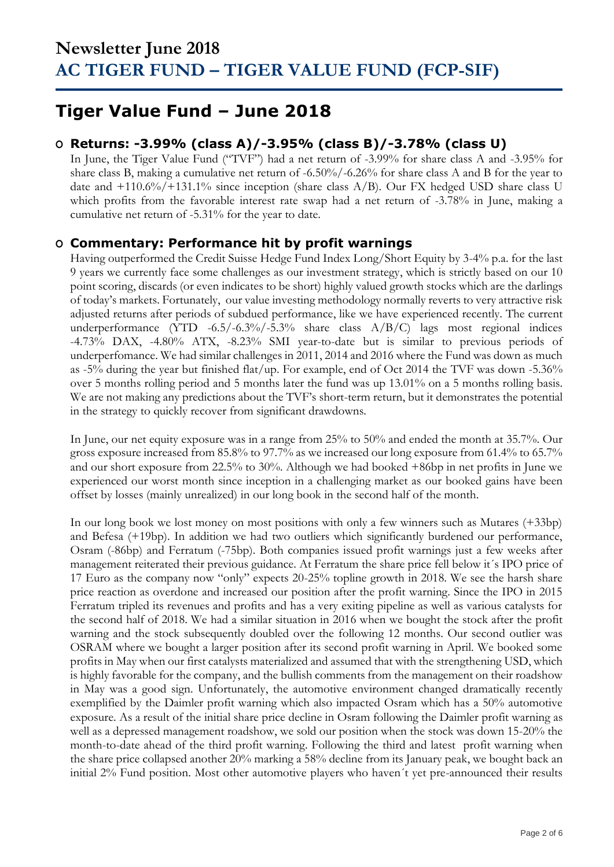### **Tiger Value Fund – June 2018**

### **O Returns: -3.99% (class A)/-3.95% (class B)/-3.78% (class U)**

In June, the Tiger Value Fund ("TVF") had a net return of -3.99% for share class A and -3.95% for share class B, making a cumulative net return of -6.50%/-6.26% for share class A and B for the year to date and  $+110.6\%/+131.1\%$  since inception (share class A/B). Our FX hedged USD share class U which profits from the favorable interest rate swap had a net return of -3.78% in June, making a cumulative net return of -5.31% for the year to date.

### **O Commentary: Performance hit by profit warnings**

Having outperformed the Credit Suisse Hedge Fund Index Long/Short Equity by 3-4% p.a. for the last 9 years we currently face some challenges as our investment strategy, which is strictly based on our 10 point scoring, discards (or even indicates to be short) highly valued growth stocks which are the darlings of today's markets. Fortunately, our value investing methodology normally reverts to very attractive risk adjusted returns after periods of subdued performance, like we have experienced recently. The current underperformance (YTD -6.5/-6.3%/-5.3% share class A/B/C) lags most regional indices -4.73% DAX, -4.80% ATX, -8.23% SMI year-to-date but is similar to previous periods of underperfomance. We had similar challenges in 2011, 2014 and 2016 where the Fund was down as much as -5% during the year but finished flat/up. For example, end of Oct 2014 the TVF was down -5.36% over 5 months rolling period and 5 months later the fund was up 13.01% on a 5 months rolling basis. We are not making any predictions about the TVF's short-term return, but it demonstrates the potential in the strategy to quickly recover from significant drawdowns.

In June, our net equity exposure was in a range from 25% to 50% and ended the month at 35.7%. Our gross exposure increased from 85.8% to 97.7% as we increased our long exposure from 61.4% to 65.7% and our short exposure from 22.5% to 30%. Although we had booked +86bp in net profits in June we experienced our worst month since inception in a challenging market as our booked gains have been offset by losses (mainly unrealized) in our long book in the second half of the month.

In our long book we lost money on most positions with only a few winners such as Mutares (+33bp) and Befesa (+19bp). In addition we had two outliers which significantly burdened our performance, Osram (-86bp) and Ferratum (-75bp). Both companies issued profit warnings just a few weeks after management reiterated their previous guidance. At Ferratum the share price fell below it´s IPO price of 17 Euro as the company now "only" expects 20-25% topline growth in 2018. We see the harsh share price reaction as overdone and increased our position after the profit warning. Since the IPO in 2015 Ferratum tripled its revenues and profits and has a very exiting pipeline as well as various catalysts for the second half of 2018. We had a similar situation in 2016 when we bought the stock after the profit warning and the stock subsequently doubled over the following 12 months. Our second outlier was OSRAM where we bought a larger position after its second profit warning in April. We booked some profits in May when our first catalysts materialized and assumed that with the strengthening USD, which is highly favorable for the company, and the bullish comments from the management on their roadshow in May was a good sign. Unfortunately, the automotive environment changed dramatically recently exemplified by the Daimler profit warning which also impacted Osram which has a 50% automotive exposure. As a result of the initial share price decline in Osram following the Daimler profit warning as well as a depressed management roadshow, we sold our position when the stock was down 15-20% the month-to-date ahead of the third profit warning. Following the third and latest profit warning when the share price collapsed another 20% marking a 58% decline from its January peak, we bought back an initial 2% Fund position. Most other automotive players who haven´t yet pre-announced their results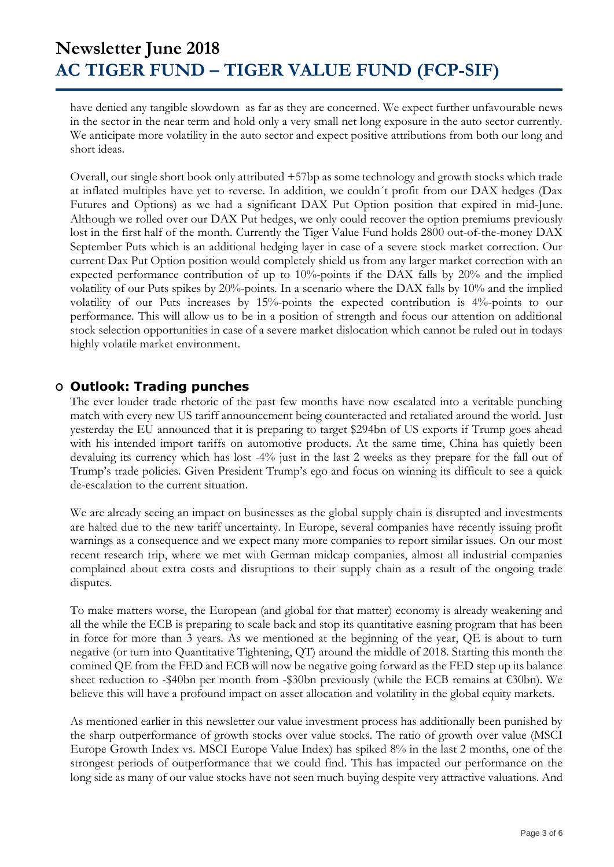have denied any tangible slowdown as far as they are concerned. We expect further unfavourable news in the sector in the near term and hold only a very small net long exposure in the auto sector currently. We anticipate more volatility in the auto sector and expect positive attributions from both our long and short ideas.

Overall, our single short book only attributed +57bp as some technology and growth stocks which trade at inflated multiples have yet to reverse. In addition, we couldn´t profit from our DAX hedges (Dax Futures and Options) as we had a significant DAX Put Option position that expired in mid-June. Although we rolled over our DAX Put hedges, we only could recover the option premiums previously lost in the first half of the month. Currently the Tiger Value Fund holds 2800 out-of-the-money DAX September Puts which is an additional hedging layer in case of a severe stock market correction. Our current Dax Put Option position would completely shield us from any larger market correction with an expected performance contribution of up to 10%-points if the DAX falls by 20% and the implied volatility of our Puts spikes by 20%-points. In a scenario where the DAX falls by 10% and the implied volatility of our Puts increases by 15%-points the expected contribution is 4%-points to our performance. This will allow us to be in a position of strength and focus our attention on additional stock selection opportunities in case of a severe market dislocation which cannot be ruled out in todays highly volatile market environment.

### **O Outlook: Trading punches**

The ever louder trade rhetoric of the past few months have now escalated into a veritable punching match with every new US tariff announcement being counteracted and retaliated around the world. Just yesterday the EU announced that it is preparing to target \$294bn of US exports if Trump goes ahead with his intended import tariffs on automotive products. At the same time, China has quietly been devaluing its currency which has lost -4% just in the last 2 weeks as they prepare for the fall out of Trump's trade policies. Given President Trump's ego and focus on winning its difficult to see a quick de-escalation to the current situation.

We are already seeing an impact on businesses as the global supply chain is disrupted and investments are halted due to the new tariff uncertainty. In Europe, several companies have recently issuing profit warnings as a consequence and we expect many more companies to report similar issues. On our most recent research trip, where we met with German midcap companies, almost all industrial companies complained about extra costs and disruptions to their supply chain as a result of the ongoing trade disputes.

To make matters worse, the European (and global for that matter) economy is already weakening and all the while the ECB is preparing to scale back and stop its quantitative easning program that has been in force for more than 3 years. As we mentioned at the beginning of the year, QE is about to turn negative (or turn into Quantitative Tightening, QT) around the middle of 2018. Starting this month the comined QE from the FED and ECB will now be negative going forward as the FED step up its balance sheet reduction to -\$40bn per month from -\$30bn previously (while the ECB remains at €30bn). We believe this will have a profound impact on asset allocation and volatility in the global equity markets.

As mentioned earlier in this newsletter our value investment process has additionally been punished by the sharp outperformance of growth stocks over value stocks. The ratio of growth over value (MSCI Europe Growth Index vs. MSCI Europe Value Index) has spiked 8% in the last 2 months, one of the strongest periods of outperformance that we could find. This has impacted our performance on the long side as many of our value stocks have not seen much buying despite very attractive valuations. And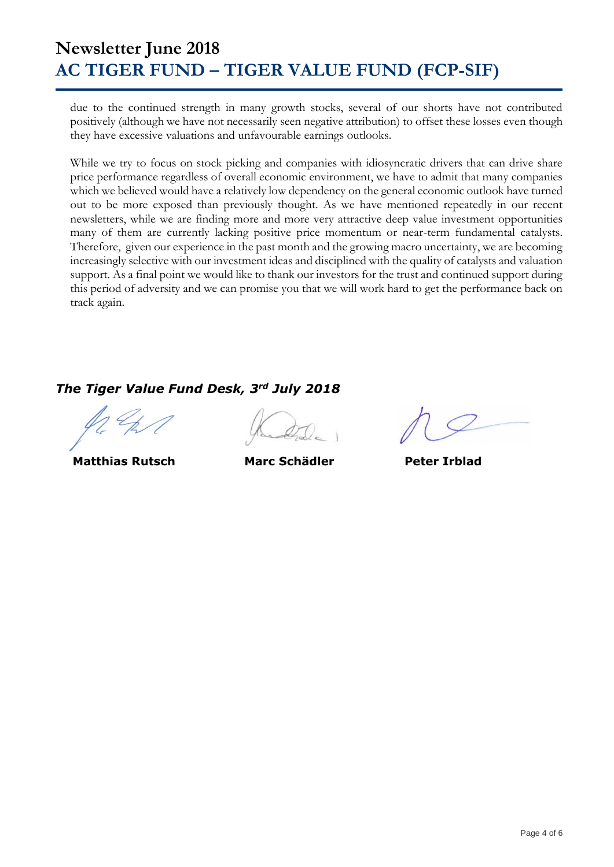due to the continued strength in many growth stocks, several of our shorts have not contributed positively (although we have not necessarily seen negative attribution) to offset these losses even though they have excessive valuations and unfavourable earnings outlooks.

While we try to focus on stock picking and companies with idiosyncratic drivers that can drive share price performance regardless of overall economic environment, we have to admit that many companies which we believed would have a relatively low dependency on the general economic outlook have turned out to be more exposed than previously thought. As we have mentioned repeatedly in our recent newsletters, while we are finding more and more very attractive deep value investment opportunities many of them are currently lacking positive price momentum or near-term fundamental catalysts. Therefore, given our experience in the past month and the growing macro uncertainty, we are becoming increasingly selective with our investment ideas and disciplined with the quality of catalysts and valuation support. As a final point we would like to thank our investors for the trust and continued support during this period of adversity and we can promise you that we will work hard to get the performance back on track again.

### *The Tiger Value Fund Desk, 3rd July 2018*

 **Matthias Rutsch Marc Schädler Peter Irblad**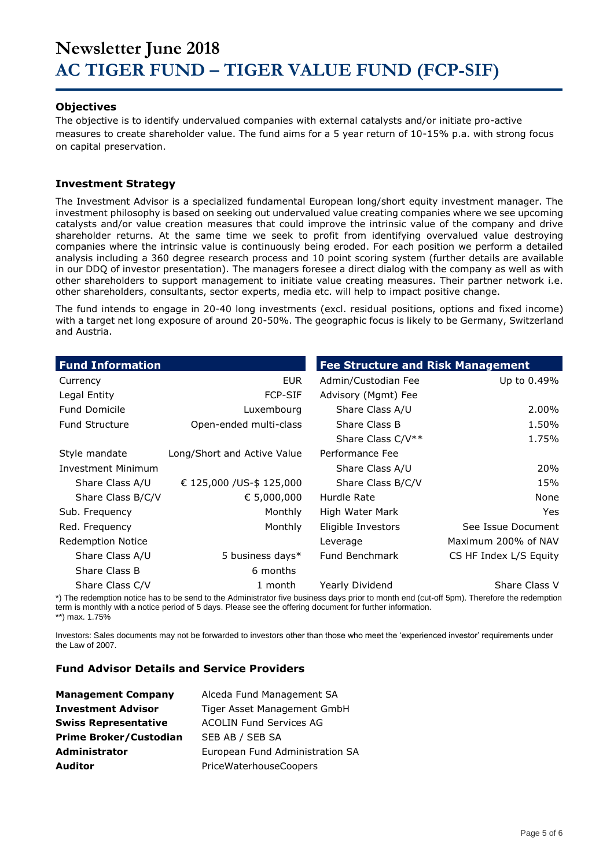#### **Objectives**

The objective is to identify undervalued companies with external catalysts and/or initiate pro-active measures to create shareholder value. The fund aims for a 5 year return of 10-15% p.a. with strong focus on capital preservation.

#### **Investment Strategy**

The Investment Advisor is a specialized fundamental European long/short equity investment manager. The investment philosophy is based on seeking out undervalued value creating companies where we see upcoming catalysts and/or value creation measures that could improve the intrinsic value of the company and drive shareholder returns. At the same time we seek to profit from identifying overvalued value destroying companies where the intrinsic value is continuously being eroded. For each position we perform a detailed analysis including a 360 degree research process and 10 point scoring system (further details are available in our DDQ of investor presentation). The managers foresee a direct dialog with the company as well as with other shareholders to support management to initiate value creating measures. Their partner network i.e. other shareholders, consultants, sector experts, media etc. will help to impact positive change.

The fund intends to engage in 20-40 long investments (excl. residual positions, options and fixed income) with a target net long exposure of around 20-50%. The geographic focus is likely to be Germany, Switzerland and Austria.

| <b>Fund Information</b>   |                             | <b>Fee Structure and Risk Management</b> |                        |
|---------------------------|-----------------------------|------------------------------------------|------------------------|
| Currency                  | EUR.                        | Admin/Custodian Fee                      | Up to 0.49%            |
| Legal Entity              | <b>FCP-SIF</b>              | Advisory (Mgmt) Fee                      |                        |
| <b>Fund Domicile</b>      | Luxembourg                  | Share Class A/U                          | 2.00%                  |
| <b>Fund Structure</b>     | Open-ended multi-class      | Share Class B                            | 1.50%                  |
|                           |                             | Share Class C/V**                        | 1.75%                  |
| Style mandate             | Long/Short and Active Value | Performance Fee                          |                        |
| <b>Investment Minimum</b> |                             | Share Class A/U                          | 20%                    |
| Share Class A/U           | € 125,000 / US-\$ 125,000   | Share Class B/C/V                        | 15%                    |
| Share Class B/C/V         | € 5,000,000                 | Hurdle Rate                              | None                   |
| Sub. Frequency            | Monthly                     | High Water Mark                          | <b>Yes</b>             |
| Red. Frequency            | Monthly                     | Eligible Investors                       | See Issue Document     |
| <b>Redemption Notice</b>  |                             | Leverage                                 | Maximum 200% of NAV    |
| Share Class A/U           | 5 business days*            | Fund Benchmark                           | CS HF Index L/S Equity |
| Share Class B             | 6 months                    |                                          |                        |
| Share Class C/V           | 1 month                     | Yearly Dividend                          | Share Class V          |

\*) The redemption notice has to be send to the Administrator five business days prior to month end (cut-off 5pm). Therefore the redemption term is monthly with a notice period of 5 days. Please see the offering document for further information. \*\*) max. 1.75%

Investors: Sales documents may not be forwarded to investors other than those who meet the 'experienced investor' requirements under the Law of 2007.

#### **Fund Advisor Details and Service Providers**

| <b>Management Company</b>     | Alceda Fund Management SA       |
|-------------------------------|---------------------------------|
| <b>Investment Advisor</b>     | Tiger Asset Management GmbH     |
| <b>Swiss Representative</b>   | <b>ACOLIN Fund Services AG</b>  |
| <b>Prime Broker/Custodian</b> | SEB AB / SEB SA                 |
| <b>Administrator</b>          | European Fund Administration SA |
| Auditor                       | PriceWaterhouseCoopers          |